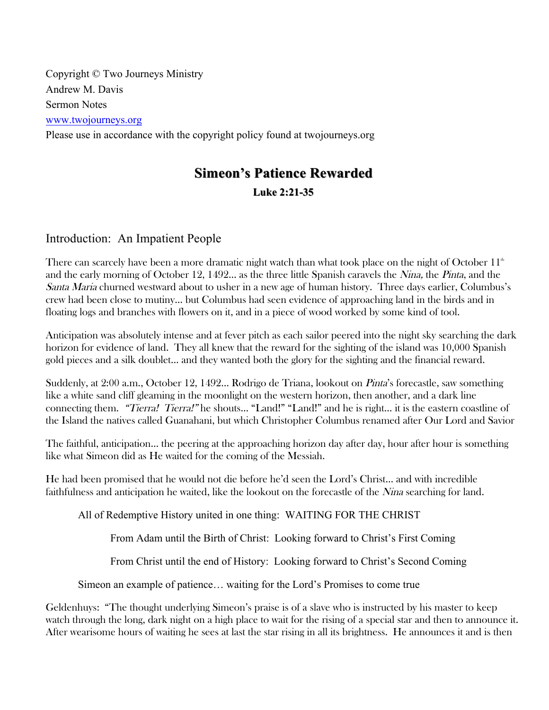Copyright © Two Journeys Ministry Andrew M. Davis Sermon Notes www.twojourneys.org Please use in accordance with the copyright policy found at twojourneys.org

# **Simeon's Patience Rewarded Luke 2:21 Luke 2:21-35**

## Introduction: An Impatient People

There can scarcely have been a more dramatic night watch than what took place on the night of October  $11<sup>th</sup>$ and the early morning of October 12, 1492... as the three little Spanish caravels the Nina, the Pinta, and the Santa Maria churned westward about to usher in a new age of human history. Three days earlier, Columbus's crew had been close to mutiny… but Columbus had seen evidence of approaching land in the birds and in floating logs and branches with flowers on it, and in a piece of wood worked by some kind of tool.

Anticipation was absolutely intense and at fever pitch as each sailor peered into the night sky searching the dark horizon for evidence of land. They all knew that the reward for the sighting of the island was 10,000 Spanish gold pieces and a silk doublet… and they wanted both the glory for the sighting and the financial reward.

Suddenly, at 2:00 a.m., October 12, 1492… Rodrigo de Triana, lookout on Pinta's forecastle, saw something like a white sand cliff gleaming in the moonlight on the western horizon, then another, and a dark line connecting them. "Tierra! Tierra!" he shouts… "Land!" "Land!" and he is right… it is the eastern coastline of the Island the natives called Guanahani, but which Christopher Columbus renamed after Our Lord and Savior

The faithful, anticipation… the peering at the approaching horizon day after day, hour after hour is something like what Simeon did as He waited for the coming of the Messiah.

He had been promised that he would not die before he'd seen the Lord's Christ… and with incredible faithfulness and anticipation he waited, like the lookout on the forecastle of the *Nina* searching for land.

All of Redemptive History united in one thing: WAITING FOR THE CHRIST

From Adam until the Birth of Christ: Looking forward to Christ's First Coming

From Christ until the end of History: Looking forward to Christ's Second Coming

Simeon an example of patience… waiting for the Lord's Promises to come true

Geldenhuys: "The thought underlying Simeon's praise is of a slave who is instructed by his master to keep watch through the long, dark night on a high place to wait for the rising of a special star and then to announce it. After wearisome hours of waiting he sees at last the star rising in all its brightness. He announces it and is then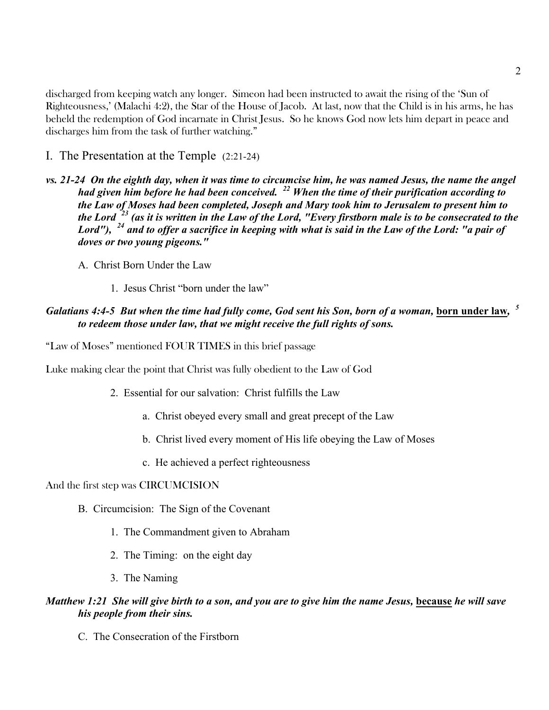discharged from keeping watch any longer. Simeon had been instructed to await the rising of the 'Sun of Righteousness,' (Malachi 4:2), the Star of the House of Jacob. At last, now that the Child is in his arms, he has beheld the redemption of God incarnate in Christ Jesus. So he knows God now lets him depart in peace and discharges him from the task of further watching."

- I. The Presentation at the Temple (2:21-24)
- *vs. 21-24 On the eighth day, when it was time to circumcise him, he was named Jesus, the name the angel had given him before he had been conceived. <sup>22</sup> When the time of their purification according to the Law of Moses had been completed, Joseph and Mary took him to Jerusalem to present him to the Lord <sup>23</sup> (as it is written in the Law of the Lord, "Every firstborn male is to be consecrated to the Lord"), <sup>24</sup> and to offer a sacrifice in keeping with what is said in the Law of the Lord: "a pair of doves or two young pigeons."* 
	- A. Christ Born Under the Law
		- 1. Jesus Christ "born under the law"

### *Galatians 4:4-5 But when the time had fully come, God sent his Son, born of a woman,* **born under law***, <sup>5</sup> to redeem those under law, that we might receive the full rights of sons.*

"Law of Moses" mentioned FOUR TIMES in this brief passage

Luke making clear the point that Christ was fully obedient to the Law of God

- 2. Essential for our salvation: Christ fulfills the Law
	- a. Christ obeyed every small and great precept of the Law
	- b. Christ lived every moment of His life obeying the Law of Moses
	- c. He achieved a perfect righteousness

#### And the first step was CIRCUMCISION

- B. Circumcision: The Sign of the Covenant
	- 1. The Commandment given to Abraham
	- 2. The Timing: on the eight day
	- 3. The Naming

#### *Matthew 1:21 She will give birth to a son, and you are to give him the name Jesus, because he will save his people from their sins.*

C. The Consecration of the Firstborn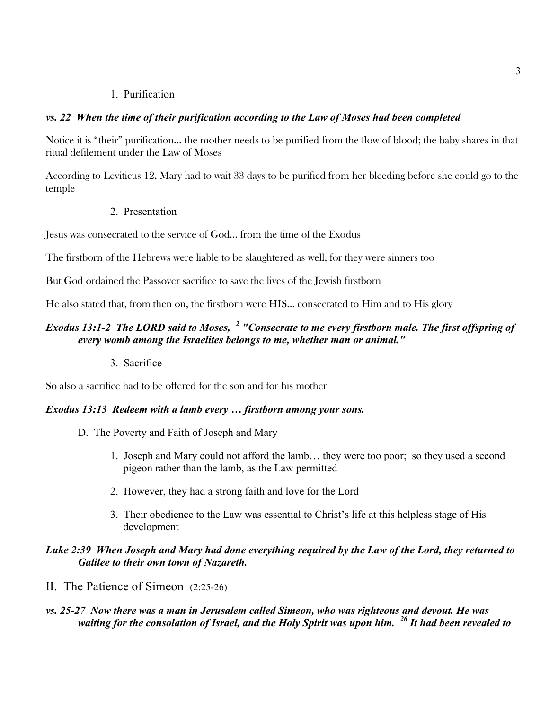### 1. Purification

### *vs. 22 When the time of their purification according to the Law of Moses had been completed*

Notice it is "their" purification… the mother needs to be purified from the flow of blood; the baby shares in that ritual defilement under the Law of Moses

According to Leviticus 12, Mary had to wait 33 days to be purified from her bleeding before she could go to the temple

2. Presentation

Jesus was consecrated to the service of God… from the time of the Exodus

The firstborn of the Hebrews were liable to be slaughtered as well, for they were sinners too

But God ordained the Passover sacrifice to save the lives of the Jewish firstborn

He also stated that, from then on, the firstborn were HIS… consecrated to Him and to His glory

### *Exodus 13:1-2 The LORD said to Moses, <sup>2</sup> "Consecrate to me every firstborn male. The first offspring of every womb among the Israelites belongs to me, whether man or animal."*

3. Sacrifice

So also a sacrifice had to be offered for the son and for his mother

#### *Exodus 13:13 Redeem with a lamb every … firstborn among your sons.*

- D. The Poverty and Faith of Joseph and Mary
	- 1. Joseph and Mary could not afford the lamb… they were too poor; so they used a second pigeon rather than the lamb, as the Law permitted
	- 2. However, they had a strong faith and love for the Lord
	- 3. Their obedience to the Law was essential to Christ's life at this helpless stage of His development

### *Luke 2:39 When Joseph and Mary had done everything required by the Law of the Lord, they returned to Galilee to their own town of Nazareth.*

II. The Patience of Simeon (2:25-26)

### *vs. 25-27 Now there was a man in Jerusalem called Simeon, who was righteous and devout. He was waiting for the consolation of Israel, and the Holy Spirit was upon him. <sup>26</sup> It had been revealed to*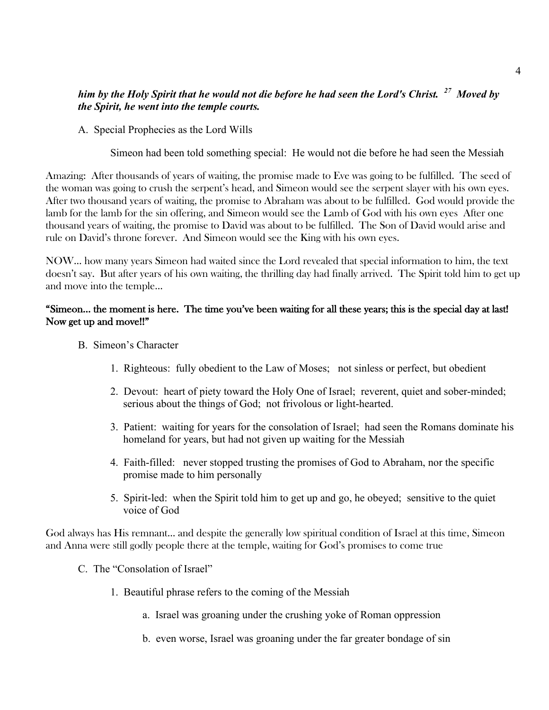### *him by the Holy Spirit that he would not die before he had seen the Lord's Christ. 27 Moved by the Spirit, he went into the temple courts.*

A. Special Prophecies as the Lord Wills

Simeon had been told something special: He would not die before he had seen the Messiah

Amazing: After thousands of years of waiting, the promise made to Eve was going to be fulfilled. The seed of the woman was going to crush the serpent's head, and Simeon would see the serpent slayer with his own eyes. After two thousand years of waiting, the promise to Abraham was about to be fulfilled. God would provide the lamb for the lamb for the sin offering, and Simeon would see the Lamb of God with his own eyes After one thousand years of waiting, the promise to David was about to be fulfilled. The Son of David would arise and rule on David's throne forever. And Simeon would see the King with his own eyes.

NOW… how many years Simeon had waited since the Lord revealed that special information to him, the text doesn't say. But after years of his own waiting, the thrilling day had finally arrived. The Spirit told him to get up and move into the temple…

### "Simeon… the moment is here. The time you've been waiting for all these years; this is the special day at last! Now get up and move!!"

- B. Simeon's Character
	- 1. Righteous: fully obedient to the Law of Moses; not sinless or perfect, but obedient
	- 2. Devout: heart of piety toward the Holy One of Israel; reverent, quiet and sober-minded; serious about the things of God; not frivolous or light-hearted.
	- 3. Patient: waiting for years for the consolation of Israel; had seen the Romans dominate his homeland for years, but had not given up waiting for the Messiah
	- 4. Faith-filled: never stopped trusting the promises of God to Abraham, nor the specific promise made to him personally
	- 5. Spirit-led: when the Spirit told him to get up and go, he obeyed; sensitive to the quiet voice of God

God always has His remnant… and despite the generally low spiritual condition of Israel at this time, Simeon and Anna were still godly people there at the temple, waiting for God's promises to come true

- C. The "Consolation of Israel"
	- 1. Beautiful phrase refers to the coming of the Messiah
		- a. Israel was groaning under the crushing yoke of Roman oppression
		- b. even worse, Israel was groaning under the far greater bondage of sin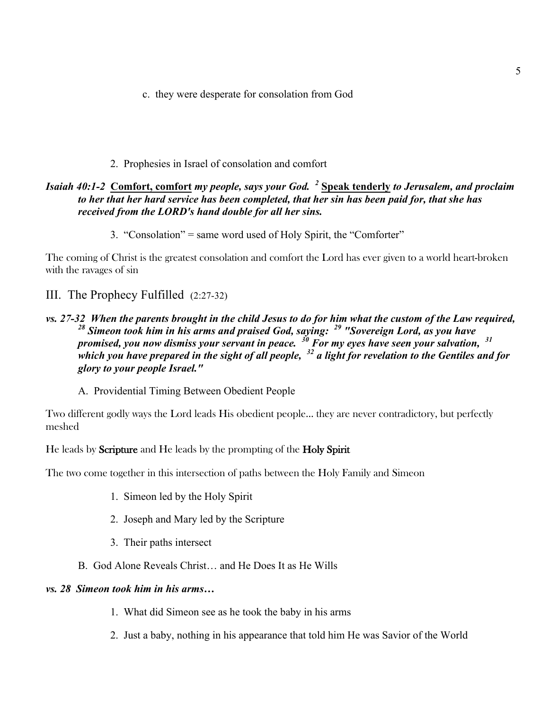c. they were desperate for consolation from God

### 2. Prophesies in Israel of consolation and comfort

### *Isaiah 40:1-2* **Comfort, comfort** *my people, says your God. <sup>2</sup>* **Speak tenderly** *to Jerusalem, and proclaim to her that her hard service has been completed, that her sin has been paid for, that she has received from the LORD's hand double for all her sins.*

3. "Consolation" = same word used of Holy Spirit, the "Comforter"

The coming of Christ is the greatest consolation and comfort the Lord has ever given to a world heart-broken with the ravages of sin

III. The Prophecy Fulfilled (2:27-32)

### *vs. 27-32 When the parents brought in the child Jesus to do for him what the custom of the Law required, <sup>28</sup> Simeon took him in his arms and praised God, saying: <sup>29</sup> "Sovereign Lord, as you have promised, you now dismiss your servant in peace. <sup>30</sup> For my eyes have seen your salvation, <sup>31</sup> which you have prepared in the sight of all people, <sup>32</sup> a light for revelation to the Gentiles and for glory to your people Israel."*

A. Providential Timing Between Obedient People

Two different godly ways the Lord leads His obedient people… they are never contradictory, but perfectly meshed

He leads by Scripture and He leads by the prompting of the Holy Spirit

The two come together in this intersection of paths between the Holy Family and Simeon

- 1. Simeon led by the Holy Spirit
- 2. Joseph and Mary led by the Scripture
- 3. Their paths intersect
- B. God Alone Reveals Christ… and He Does It as He Wills

#### *vs. 28 Simeon took him in his arms…*

- 1. What did Simeon see as he took the baby in his arms
- 2. Just a baby, nothing in his appearance that told him He was Savior of the World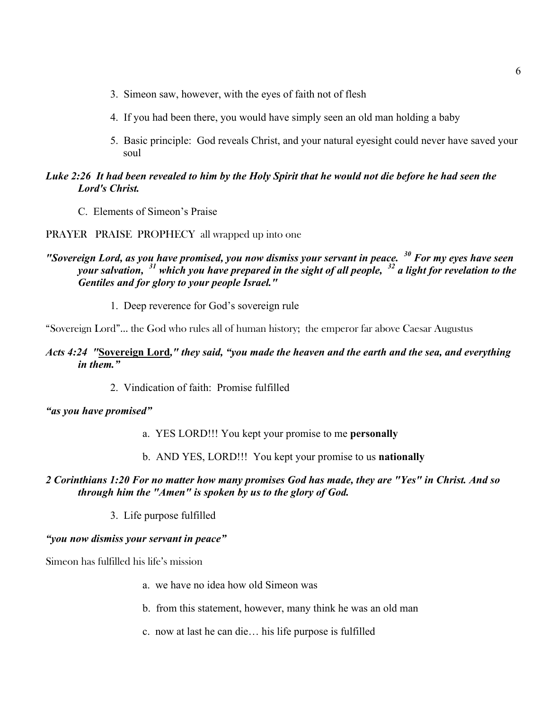- 3. Simeon saw, however, with the eyes of faith not of flesh
- 4. If you had been there, you would have simply seen an old man holding a baby
- 5. Basic principle: God reveals Christ, and your natural eyesight could never have saved your soul

### *Luke 2:26 It had been revealed to him by the Holy Spirit that he would not die before he had seen the Lord's Christ.*

- C. Elements of Simeon's Praise
- PRAYER PRAISE PROPHECY all wrapped up into one

### *"Sovereign Lord, as you have promised, you now dismiss your servant in peace. <sup>30</sup> For my eyes have seen your salvation, <sup>31</sup> which you have prepared in the sight of all people, <sup>32</sup> a light for revelation to the Gentiles and for glory to your people Israel."*

1. Deep reverence for God's sovereign rule

"Sovereign Lord"… the God who rules all of human history; the emperor far above Caesar Augustus

### *Acts 4:24 "***Sovereign Lord***," they said, "you made the heaven and the earth and the sea, and everything in them."*

2. Vindication of faith: Promise fulfilled

#### *"as you have promised"*

- a. YES LORD!!! You kept your promise to me **personally**
- b. AND YES, LORD!!! You kept your promise to us **nationally**

### *2 Corinthians 1:20 For no matter how many promises God has made, they are "Yes" in Christ. And so through him the "Amen" is spoken by us to the glory of God.*

3. Life purpose fulfilled

#### *"you now dismiss your servant in peace"*

Simeon has fulfilled his life's mission

- a. we have no idea how old Simeon was
- b. from this statement, however, many think he was an old man
- c. now at last he can die… his life purpose is fulfilled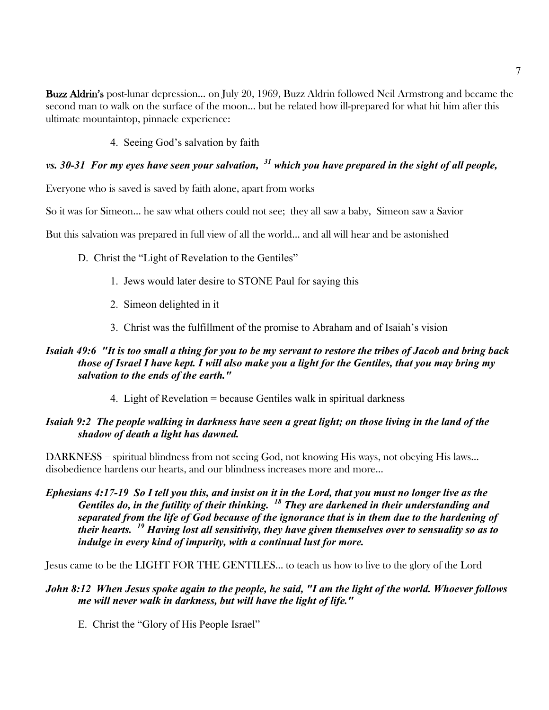Buzz Aldrin's post-lunar depression… on July 20, 1969, Buzz Aldrin followed Neil Armstrong and became the second man to walk on the surface of the moon… but he related how ill-prepared for what hit him after this ultimate mountaintop, pinnacle experience:

4. Seeing God's salvation by faith

# *vs. 30-31 For my eyes have seen your salvation, <sup>31</sup> which you have prepared in the sight of all people,*

Everyone who is saved is saved by faith alone, apart from works

So it was for Simeon… he saw what others could not see; they all saw a baby, Simeon saw a Savior

But this salvation was prepared in full view of all the world… and all will hear and be astonished

- D. Christ the "Light of Revelation to the Gentiles"
	- 1. Jews would later desire to STONE Paul for saying this
	- 2. Simeon delighted in it
	- 3. Christ was the fulfillment of the promise to Abraham and of Isaiah's vision

### *Isaiah 49:6 "It is too small a thing for you to be my servant to restore the tribes of Jacob and bring back those of Israel I have kept. I will also make you a light for the Gentiles, that you may bring my salvation to the ends of the earth."*

4. Light of Revelation = because Gentiles walk in spiritual darkness

### *Isaiah 9:2 The people walking in darkness have seen a great light; on those living in the land of the shadow of death a light has dawned.*

DARKNESS = spiritual blindness from not seeing God, not knowing His ways, not obeying His laws... disobedience hardens our hearts, and our blindness increases more and more…

*Ephesians 4:17-19 So I tell you this, and insist on it in the Lord, that you must no longer live as the Gentiles do, in the futility of their thinking. <sup>18</sup> They are darkened in their understanding and separated from the life of God because of the ignorance that is in them due to the hardening of their hearts. <sup>19</sup> Having lost all sensitivity, they have given themselves over to sensuality so as to indulge in every kind of impurity, with a continual lust for more.*

Jesus came to be the LIGHT FOR THE GENTILES… to teach us how to live to the glory of the Lord

### *John 8:12 When Jesus spoke again to the people, he said, "I am the light of the world. Whoever follows me will never walk in darkness, but will have the light of life."*

E. Christ the "Glory of His People Israel"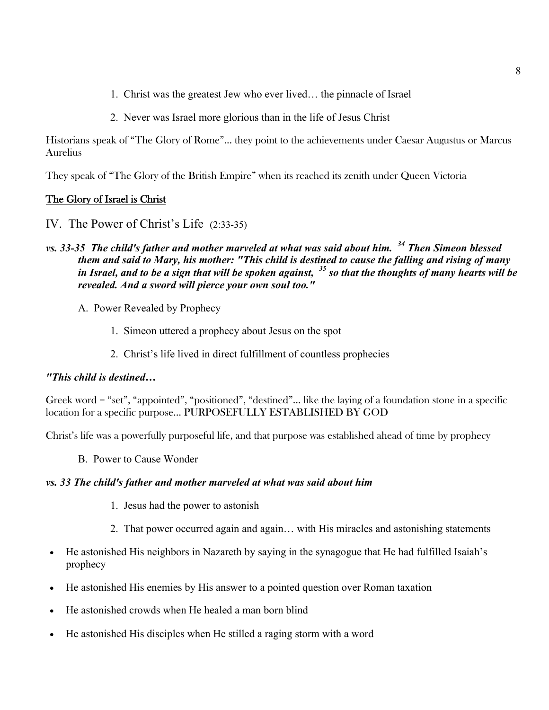- 1. Christ was the greatest Jew who ever lived… the pinnacle of Israel
- 2. Never was Israel more glorious than in the life of Jesus Christ

Historians speak of "The Glory of Rome"… they point to the achievements under Caesar Augustus or Marcus Aurelius

They speak of "The Glory of the British Empire" when its reached its zenith under Queen Victoria

### The Glory of Israel is Christ

- IV. The Power of Christ's Life (2:33-35)
- *vs. 33-35 The child's father and mother marveled at what was said about him. <sup>34</sup> Then Simeon blessed them and said to Mary, his mother: "This child is destined to cause the falling and rising of many in Israel, and to be a sign that will be spoken against, <sup>35</sup> so that the thoughts of many hearts will be revealed. And a sword will pierce your own soul too."*
	- A. Power Revealed by Prophecy
		- 1. Simeon uttered a prophecy about Jesus on the spot
		- 2. Christ's life lived in direct fulfillment of countless prophecies

#### *"This child is destined…*

Greek word = "set", "appointed", "positioned", "destined"… like the laying of a foundation stone in a specific location for a specific purpose… PURPOSEFULLY ESTABLISHED BY GOD

Christ's life was a powerfully purposeful life, and that purpose was established ahead of time by prophecy

B. Power to Cause Wonder

#### *vs. 33 The child's father and mother marveled at what was said about him*

- 1. Jesus had the power to astonish
- 2. That power occurred again and again… with His miracles and astonishing statements
- He astonished His neighbors in Nazareth by saying in the synagogue that He had fulfilled Isaiah's prophecy
- He astonished His enemies by His answer to a pointed question over Roman taxation
- He astonished crowds when He healed a man born blind
- He astonished His disciples when He stilled a raging storm with a word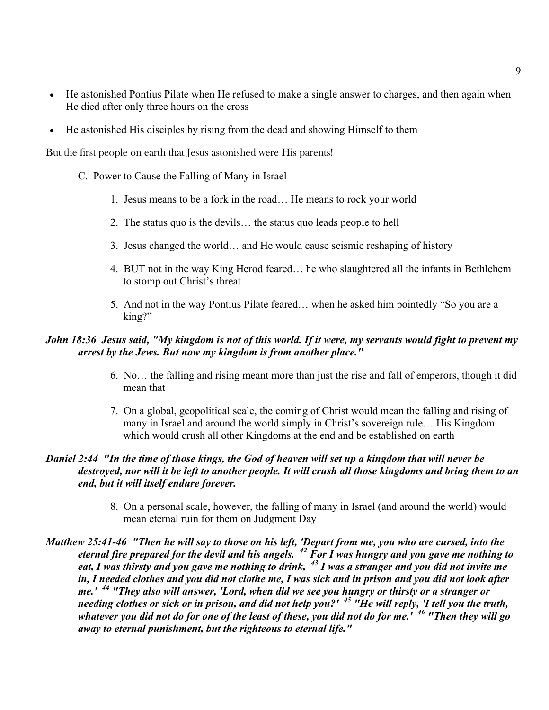- He astonished Pontius Pilate when He refused to make a single answer to charges, and then again when He died after only three hours on the cross
- He astonished His disciples by rising from the dead and showing Himself to them

But the first people on earth that Jesus astonished were His parents!

- C. Power to Cause the Falling of Many in Israel
	- 1. Jesus means to be a fork in the road… He means to rock your world
	- 2. The status quo is the devils… the status quo leads people to hell
	- 3. Jesus changed the world… and He would cause seismic reshaping of history
	- 4. BUT not in the way King Herod feared… he who slaughtered all the infants in Bethlehem to stomp out Christ's threat
	- 5. And not in the way Pontius Pilate feared… when he asked him pointedly "So you are a king?"

### *John 18:36 Jesus said, "My kingdom is not of this world. If it were, my servants would fight to prevent my arrest by the Jews. But now my kingdom is from another place."*

- 6. No… the falling and rising meant more than just the rise and fall of emperors, though it did mean that
- 7. On a global, geopolitical scale, the coming of Christ would mean the falling and rising of many in Israel and around the world simply in Christ's sovereign rule… His Kingdom which would crush all other Kingdoms at the end and be established on earth

### *Daniel 2:44 "In the time of those kings, the God of heaven will set up a kingdom that will never be destroyed, nor will it be left to another people. It will crush all those kingdoms and bring them to an end, but it will itself endure forever.*

- 8. On a personal scale, however, the falling of many in Israel (and around the world) would mean eternal ruin for them on Judgment Day
- *Matthew 25:41-46 "Then he will say to those on his left, 'Depart from me, you who are cursed, into the eternal fire prepared for the devil and his angels. <sup>42</sup> For I was hungry and you gave me nothing to eat, I was thirsty and you gave me nothing to drink, <sup>43</sup> I was a stranger and you did not invite me in, I needed clothes and you did not clothe me, I was sick and in prison and you did not look after me.' <sup>44</sup> "They also will answer, 'Lord, when did we see you hungry or thirsty or a stranger or needing clothes or sick or in prison, and did not help you?' <sup>45</sup> "He will reply, 'I tell you the truth, whatever you did not do for one of the least of these, you did not do for me.' <sup>46</sup> "Then they will go away to eternal punishment, but the righteous to eternal life."*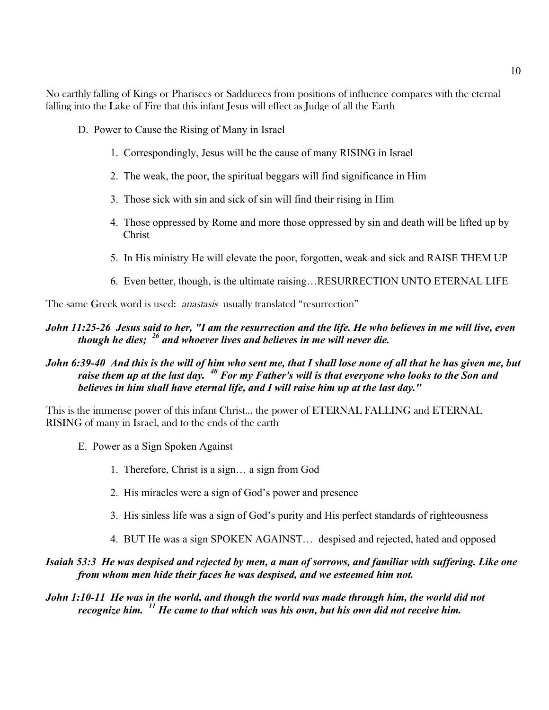No earthly falling of Kings or Pharisees or Sadducees from positions of influence compares with the eternal falling into the Lake of Fire that this infant Jesus will effect as Judge of all the Earth

- D. Power to Cause the Rising of Many in Israel
	- 1. Correspondingly, Jesus will be the cause of many RISING in Israel
	- 2. The weak, the poor, the spiritual beggars will find significance in Him
	- 3. Those sick with sin and sick of sin will find their rising in Him
	- 4. Those oppressed by Rome and more those oppressed by sin and death will be lifted up by Christ
	- 5. In His ministry He will elevate the poor, forgotten, weak and sick and RAISE THEM UP
	- 6. Even better, though, is the ultimate raising…RESURRECTION UNTO ETERNAL LIFE

The same Greek word is used: *anastasis* usually translated "resurrection"

### *John 11:25-26 Jesus said to her, "I am the resurrection and the life. He who believes in me will live, even though he dies; <sup>26</sup> and whoever lives and believes in me will never die.*

### *John 6:39-40 And this is the will of him who sent me, that I shall lose none of all that he has given me, but raise them up at the last day. <sup>40</sup> For my Father's will is that everyone who looks to the Son and believes in him shall have eternal life, and I will raise him up at the last day."*

This is the immense power of this infant Christ… the power of ETERNAL FALLING and ETERNAL RISING of many in Israel, and to the ends of the earth

- E. Power as a Sign Spoken Against
	- 1. Therefore, Christ is a sign… a sign from God
	- 2. His miracles were a sign of God's power and presence
	- 3. His sinless life was a sign of God's purity and His perfect standards of righteousness
	- 4. BUT He was a sign SPOKEN AGAINST… despised and rejected, hated and opposed

### *Isaiah 53:3 He was despised and rejected by men, a man of sorrows, and familiar with suffering. Like one from whom men hide their faces he was despised, and we esteemed him not.*

*John 1:10-11 He was in the world, and though the world was made through him, the world did not recognize him. <sup>11</sup> He came to that which was his own, but his own did not receive him.*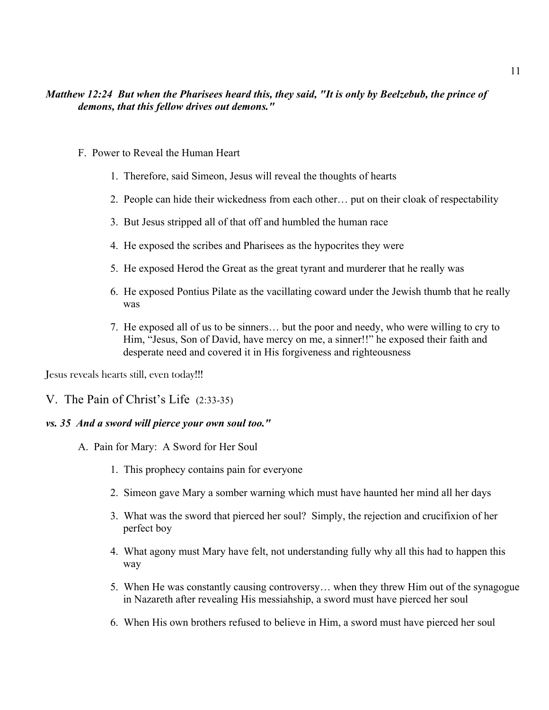### *Matthew 12:24 But when the Pharisees heard this, they said, "It is only by Beelzebub, the prince of demons, that this fellow drives out demons."*

- F. Power to Reveal the Human Heart
	- 1. Therefore, said Simeon, Jesus will reveal the thoughts of hearts
	- 2. People can hide their wickedness from each other… put on their cloak of respectability
	- 3. But Jesus stripped all of that off and humbled the human race
	- 4. He exposed the scribes and Pharisees as the hypocrites they were
	- 5. He exposed Herod the Great as the great tyrant and murderer that he really was
	- 6. He exposed Pontius Pilate as the vacillating coward under the Jewish thumb that he really was
	- 7. He exposed all of us to be sinners… but the poor and needy, who were willing to cry to Him, "Jesus, Son of David, have mercy on me, a sinner!!" he exposed their faith and desperate need and covered it in His forgiveness and righteousness

Jesus reveals hearts still, even today!!!

V. The Pain of Christ's Life (2:33-35)

#### *vs. 35 And a sword will pierce your own soul too."*

- A. Pain for Mary: A Sword for Her Soul
	- 1. This prophecy contains pain for everyone
	- 2. Simeon gave Mary a somber warning which must have haunted her mind all her days
	- 3. What was the sword that pierced her soul? Simply, the rejection and crucifixion of her perfect boy
	- 4. What agony must Mary have felt, not understanding fully why all this had to happen this way
	- 5. When He was constantly causing controversy… when they threw Him out of the synagogue in Nazareth after revealing His messiahship, a sword must have pierced her soul
	- 6. When His own brothers refused to believe in Him, a sword must have pierced her soul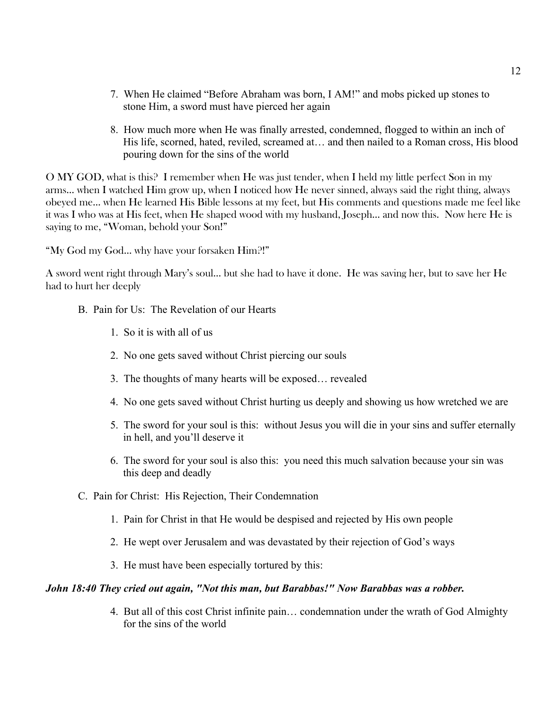- 7. When He claimed "Before Abraham was born, I AM!" and mobs picked up stones to stone Him, a sword must have pierced her again
- 8. How much more when He was finally arrested, condemned, flogged to within an inch of His life, scorned, hated, reviled, screamed at… and then nailed to a Roman cross, His blood pouring down for the sins of the world

O MY GOD, what is this? I remember when He was just tender, when I held my little perfect Son in my arms… when I watched Him grow up, when I noticed how He never sinned, always said the right thing, always obeyed me… when He learned His Bible lessons at my feet, but His comments and questions made me feel like it was I who was at His feet, when He shaped wood with my husband, Joseph… and now this. Now here He is saying to me, "Woman, behold your Son!"

"My God my God... why have your forsaken Him?!"

A sword went right through Mary's soul… but she had to have it done. He was saving her, but to save her He had to hurt her deeply

- B. Pain for Us: The Revelation of our Hearts
	- 1. So it is with all of us
	- 2. No one gets saved without Christ piercing our souls
	- 3. The thoughts of many hearts will be exposed… revealed
	- 4. No one gets saved without Christ hurting us deeply and showing us how wretched we are
	- 5. The sword for your soul is this: without Jesus you will die in your sins and suffer eternally in hell, and you'll deserve it
	- 6. The sword for your soul is also this: you need this much salvation because your sin was this deep and deadly
- C. Pain for Christ: His Rejection, Their Condemnation
	- 1. Pain for Christ in that He would be despised and rejected by His own people
	- 2. He wept over Jerusalem and was devastated by their rejection of God's ways
	- 3. He must have been especially tortured by this:

#### *John 18:40 They cried out again, "Not this man, but Barabbas!" Now Barabbas was a robber.*

4. But all of this cost Christ infinite pain… condemnation under the wrath of God Almighty for the sins of the world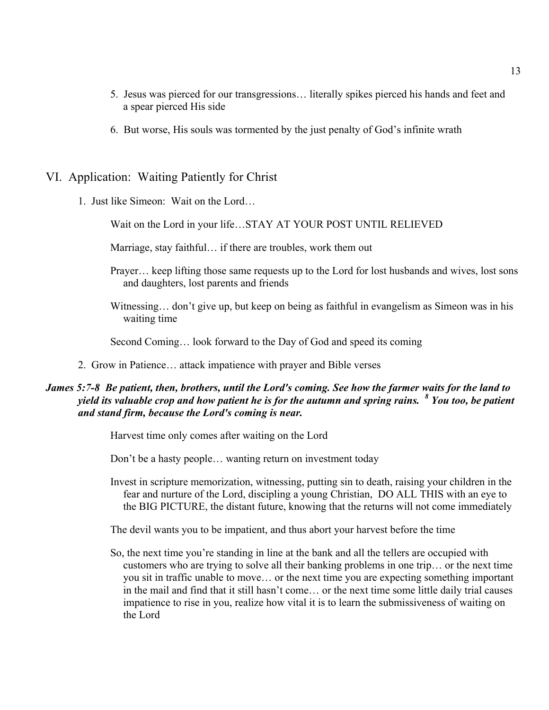- 5. Jesus was pierced for our transgressions… literally spikes pierced his hands and feet and a spear pierced His side
- 6. But worse, His souls was tormented by the just penalty of God's infinite wrath

### VI. Application: Waiting Patiently for Christ

1. Just like Simeon: Wait on the Lord…

Wait on the Lord in your life…STAY AT YOUR POST UNTIL RELIEVED

Marriage, stay faithful… if there are troubles, work them out

- Prayer… keep lifting those same requests up to the Lord for lost husbands and wives, lost sons and daughters, lost parents and friends
- Witnessing… don't give up, but keep on being as faithful in evangelism as Simeon was in his waiting time

Second Coming… look forward to the Day of God and speed its coming

2. Grow in Patience… attack impatience with prayer and Bible verses

### *James 5:7-8 Be patient, then, brothers, until the Lord's coming. See how the farmer waits for the land to yield its valuable crop and how patient he is for the autumn and spring rains. <sup>8</sup> You too, be patient and stand firm, because the Lord's coming is near.*

Harvest time only comes after waiting on the Lord

Don't be a hasty people… wanting return on investment today

Invest in scripture memorization, witnessing, putting sin to death, raising your children in the fear and nurture of the Lord, discipling a young Christian, DO ALL THIS with an eye to the BIG PICTURE, the distant future, knowing that the returns will not come immediately

The devil wants you to be impatient, and thus abort your harvest before the time

So, the next time you're standing in line at the bank and all the tellers are occupied with customers who are trying to solve all their banking problems in one trip… or the next time you sit in traffic unable to move… or the next time you are expecting something important in the mail and find that it still hasn't come… or the next time some little daily trial causes impatience to rise in you, realize how vital it is to learn the submissiveness of waiting on the Lord